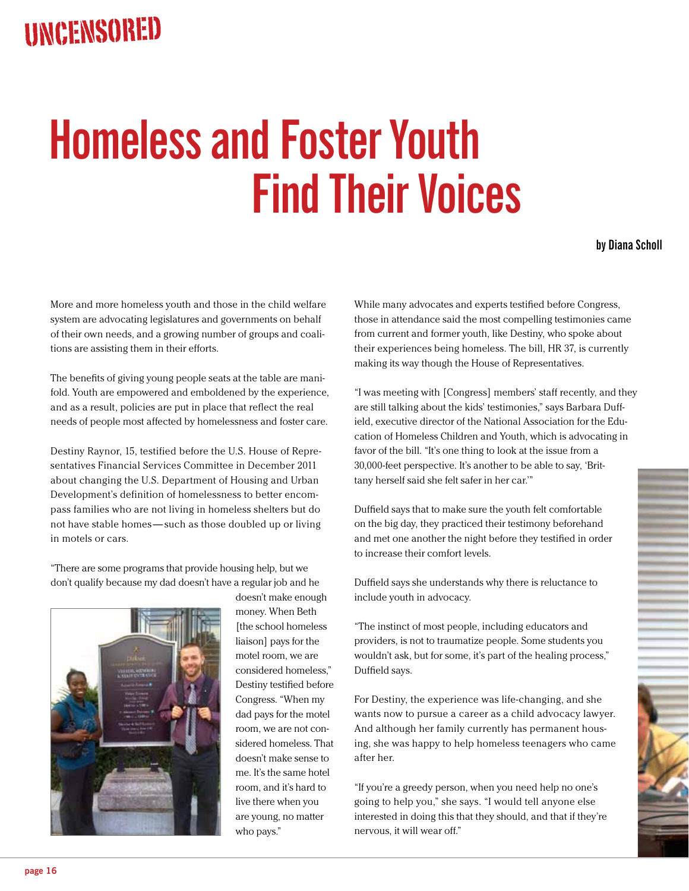## **Homeless and Foster Youth Find Their Voices**

**by Diana Scholl**

More and more homeless youth and those in the child welfare system are advocating legislatures and governments on behalf of their own needs, and a growing number of groups and coalitions are assisting them in their efforts.

The benefits of giving young people seats at the table are manifold. Youth are empowered and emboldened by the experience, and as a result, policies are put in place that reflect the real needs of people most affected by homelessness and foster care.

Destiny Raynor, 15, testified before the U.S. House of Representatives Financial Services Committee in December 2011 about changing the U.S. Department of Housing and Urban Development's definition of homelessness to better encompass families who are not living in homeless shelters but do not have stable homes — such as those doubled up or living in motels or cars.

"There are some programs that provide housing help, but we don't qualify because my dad doesn't have a regular job and he



doesn't make enough money. When Beth [the school homeless liaison] pays for the motel room, we are considered homeless," Destiny testified before Congress. "When my dad pays for the motel room, we are not considered homeless. That doesn't make sense to me. It's the same hotel room, and it's hard to live there when you are young, no matter who pays."

While many advocates and experts testified before Congress, those in attendance said the most compelling testimonies came from current and former youth, like Destiny, who spoke about their experiences being homeless. The bill, HR 37, is currently making its way though the House of Representatives.

"I was meeting with [Congress] members' staff recently, and they are still talking about the kids' testimonies," says Barbara Duffield, executive director of the National Association for the Education of Homeless Children and Youth, which is advocating in favor of the bill. "It's one thing to look at the issue from a 30,000-feet perspective. It's another to be able to say, 'Brittany herself said she felt safer in her car.'"

Duffield says that to make sure the youth felt comfortable on the big day, they practiced their testimony beforehand and met one another the night before they testified in order to increase their comfort levels.

Duffield says she understands why there is reluctance to include youth in advocacy.

"The instinct of most people, including educators and providers, is not to traumatize people. Some students you wouldn't ask, but for some, it's part of the healing process," Duffield says.

For Destiny, the experience was life-changing, and she wants now to pursue a career as a child advocacy lawyer. And although her family currently has permanent housing, she was happy to help homeless teenagers who came after her.

"If you're a greedy person, when you need help no one's going to help you," she says. "I would tell anyone else interested in doing this that they should, and that if they're nervous, it will wear off."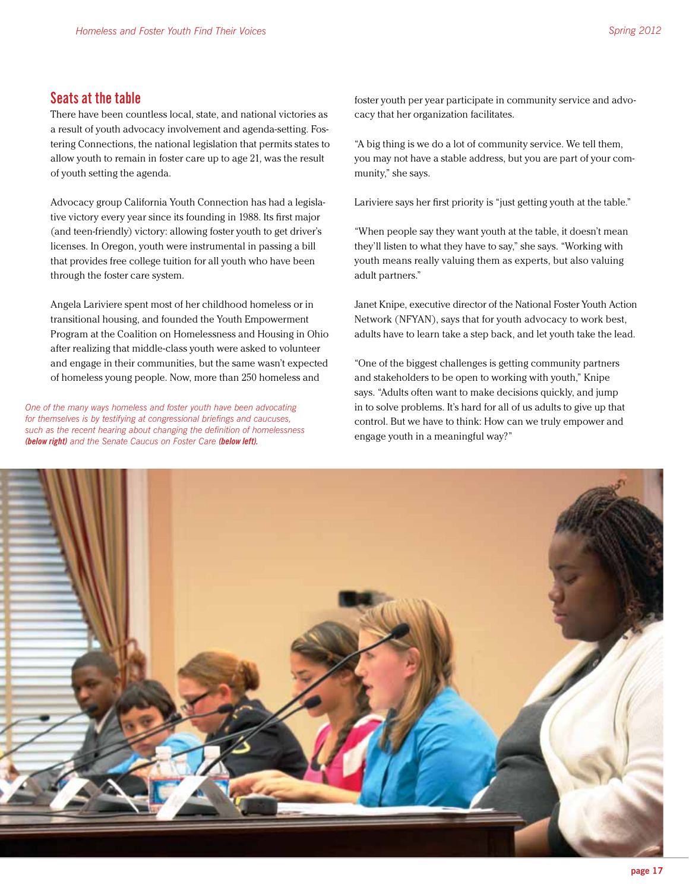## **Seats at the table**

There have been countless local, state, and national victories as a result of youth advocacy involvement and agenda-setting. Fostering Connections, the national legislation that permits states to allow youth to remain in foster care up to age 21, was the result of youth setting the agenda.

Advocacy group California Youth Connection has had a legislative victory every year since its founding in 1988. Its first major (and teen-friendly) victory: allowing foster youth to get driver's licenses. In Oregon, youth were instrumental in passing a bill that provides free college tuition for all youth who have been through the foster care system.

Angela Lariviere spent most of her childhood homeless or in transitional housing, and founded the Youth Empowerment Program at the Coalition on Homelessness and Housing in Ohio after realizing that middle-class youth were asked to volunteer and engage in their communities, but the same wasn't expected of homeless young people. Now, more than 250 homeless and

*One of the many ways homeless and foster youth have been advocating for themselves is by testifying at congressional briefings and caucuses, such as the recent hearing about changing the definition of homelessness (below right) and the Senate Caucus on Foster Care (below left).*

foster youth per year participate in community service and advocacy that her organization facilitates.

"A big thing is we do a lot of community service. We tell them, you may not have a stable address, but you are part of your community," she says.

Lariviere says her first priority is "just getting youth at the table."

"When people say they want youth at the table, it doesn't mean they'll listen to what they have to say," she says. "Working with youth means really valuing them as experts, but also valuing adult partners."

Janet Knipe, executive director of the National Foster Youth Action Network (NFYAN), says that for youth advocacy to work best, adults have to learn take a step back, and let youth take the lead.

"One of the biggest challenges is getting community partners and stakeholders to be open to working with youth," Knipe says. "Adults often want to make decisions quickly, and jump in to solve problems. It's hard for all of us adults to give up that control. But we have to think: How can we truly empower and engage youth in a meaningful way?"

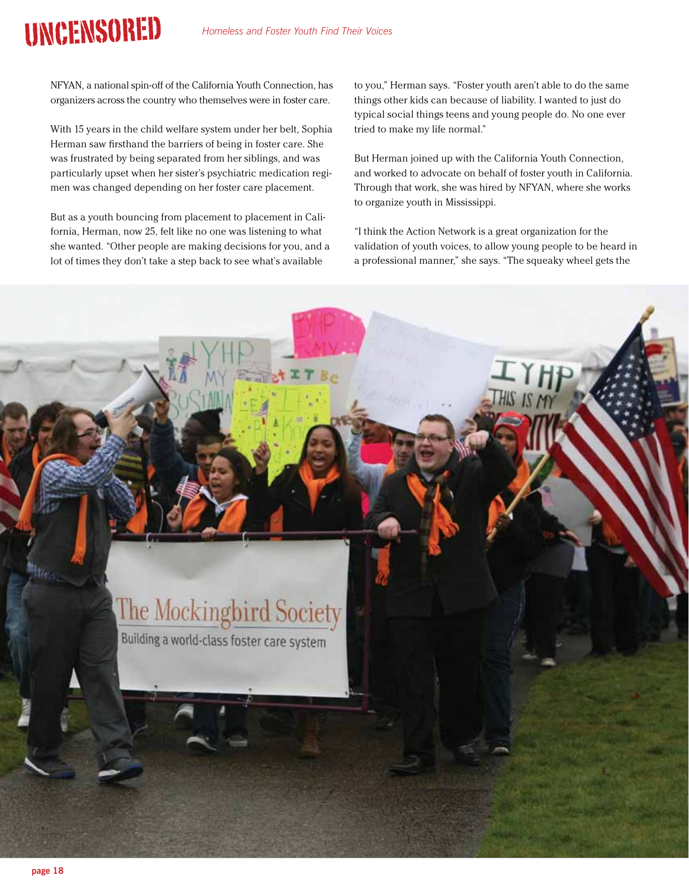## **UNCENSORED**

NFYAN, a national spin-off of the California Youth Connection, has organizers across the country who themselves were in foster care.

With 15 years in the child welfare system under her belt, Sophia Herman saw firsthand the barriers of being in foster care. She was frustrated by being separated from her siblings, and was particularly upset when her sister's psychiatric medication regimen was changed depending on her foster care placement.

But as a youth bouncing from placement to placement in California, Herman, now 25, felt like no one was listening to what she wanted. "Other people are making decisions for you, and a lot of times they don't take a step back to see what's available

to you," Herman says. "Foster youth aren't able to do the same things other kids can because of liability. I wanted to just do typical social things teens and young people do. No one ever tried to make my life normal."

But Herman joined up with the California Youth Connection, and worked to advocate on behalf of foster youth in California. Through that work, she was hired by NFYAN, where she works to organize youth in Mississippi.

"I think the Action Network is a great organization for the validation of youth voices, to allow young people to be heard in a professional manner," she says. "The squeaky wheel gets the

## **The Mockingbird Society** Building a world-class foster care system